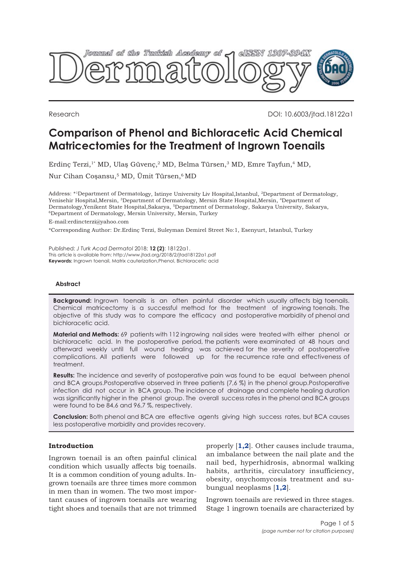

Research DOI: 10.6003/jtad.18122a1

# **Comparison of Phenol and Bichloracetic Acid Chemical Matricectomies for the Treatment of Ingrown Toenails**

Erdinç Terzi,<sup>1\*</sup> MD, Ulaş Güvenç,<sup>2</sup> MD, Belma Türsen,<sup>3</sup> MD, Emre Tayfun,<sup>4</sup> MD,

Nur Cihan Coşansu,5 MD, Ümit Türsen,6 MD

Address: \*<sup>1</sup>Department of Dermatology, Istinye University Liv Hospital,Istanbul, <sup>2</sup>Department of Dermatology, Yenisehir Hospital,Mersin, <sup>3</sup>Department of Dermatology, Mersin State Hospital,Mersin, <sup>4</sup>Department of Dermatology,Yenikent State Hospital,Sakarya, <sup>5</sup>Department of Dermatology, Sakarya University, Sakarya, <sup>6</sup>Department of Dermatology, Mersin University, Mersin, Turkey

E-mail:erdincterzi@yahoo.com

\*Corresponding Author: Dr.Erdinç Terzi, Suleyman Demirel Street No:1, Esenyurt, Istanbul, Turkey

Published: *J Turk Acad Dermatol* 2018; **12 (2)**: 18122a1. This article is available from: http://www.jtad.org/2018/2/jtad18122a1.pdf **Keywords:** Ingrown toenail, Matrix cauterization,Phenol, Bichloracetic acid

## **Abstract**

**Background:** Ingrown toenails is an often painful disorder which usually affects big toenails. Chemical matricectomy is a successful method for the treatment of ingrowing toenails. The objective of this study was to compare the efficacy and postoperative morbidity of phenol and bichloracetic acid.

**Material and Methods:** 69 patients with 112 ingrowing nail sides were treated with either phenol or bichloracetic acid. In the postoperative period, the patients were examinated at 48 hours and afterward weekly until full wound healing was achieved for the severity of postoperative complications. All patients were followed up for the recurrence rate and effectiveness of treatment.

**Results:** The incidence and severity of postoperative pain was found to be equal between phenol and BCA groups.Postoperative observed in three patients (7,6 %) in the phenol group.Postoperative infection did not occur in BCA group. The incidence of drainage and complete healing duration was significantly higher in the phenol group. The overall success rates in the phenol and BCA groups were found to be 84,6 and 96,7 %, respectively.

**Conclusion:** Both phenol and BCA are effective agents giving high success rates, but BCA causes less postoperative morbidity and provides recovery.

# **Introduction**

Ingrown toenail is an often painful clinical condition which usually affects big toenails. It is a common condition of young adults. Ingrown toenails are three times more common in men than in women. The two most important causes of ingrown toenails are wearing tight shoes and toenails that are not trimmed properly [**[1,2](#page-3-0)**]. Other causes include trauma, an imbalance between the nail plate and the nail bed, hyperhidrosis, abnormal walking habits, arthritis, circulatory insufficiency, obesity, onychomycosis treatment and subungual neoplasms [**[1,](#page-4-0)[2](#page-3-0)**].

Ingrown toenails are reviewed in three stages. Stage 1 ingrown toenails are characterized by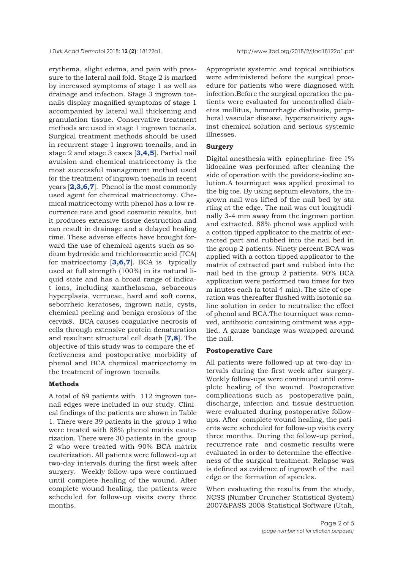erythema, slight edema, and pain with pressure to the lateral nail fold. Stage 2 is marked by increased symptoms of stage 1 as well as drainage and infection. Stage 3 ingrown toenails display magnified symptoms of stage 1 accompanied by lateral wall thickening and granulation tissue. Conservative treatment methods are used in stage 1 ingrown toenails. Surgical treatment methods should be used in recurrent stage 1 ingrown toenails, and in stage 2 and stage 3 cases [**[3,4,5](#page-3-0)**]. Partial nail avulsion and chemical matricectomy is the most successful management method used for the treatment of ingrown toenails in recent years [**[2,3,](#page-3-0)[6](#page-4-0),[7](#page-4-0)**]. Phenol is the most commonly used agent for chemical matricectomy. Chemical matricectomy with phenol has a low recurrence rate and good cosmetic results, but it produces extensive tissue destruction and can result in drainage and a delayed healing time. These adverse effects have brought forward the use of chemical agents such as sodium hydroxide and trichloroacetic acid (TCA) for matricectomy [**[3](#page-3-0),[6,7](#page-4-0)**]. BCA is typically used at full strength (100%) in its natural liquid state and has a broad range of indicat ions, including xanthelasma, sebaceous hyperplasia, verrucae, hard and soft corns, seborrheic keratoses, ingrown nails, cysts, chemical peeling and benign erosions of the cervix8. BCA causes coagulative necrosis of cells through extensive protein denaturation and resultant structural cell death [**[7](#page-4-0),[8](#page-4-0)**]. The objective of this study was to compare the effectiveness and postoperative morbidity of phenol and BCA chemical matricectomy in the treatment of ingrown toenails.

## **Methods**

A total of 69 patients with 112 ingrown toenail edges were included in our study. Clinical findings of the patients are shown in Table 1. There were 39 patients in the group 1 who were treated with 88% phenol matrix cauterization. There were 30 patients in the group 2 who were treated with 90% BCA matrix cauterization. All patients were followed-up at two-day intervals during the first week after surgery. Weekly follow-ups were continued until complete healing of the wound. After complete wound healing, the patients were scheduled for follow-up visits every three months.

Appropriate systemic and topical antibiotics were administered before the surgical procedure for patients who were diagnosed with infection.Before the surgical operation the patients were evaluated for uncontrolled diabetes mellitus, hemorrhagic diathesis, peripheral vascular disease, hypersensitivity against chemical solution and serious systemic illnesses.

## **Surgery**

Digital anesthesia with epinephrine- free 1% lidocaine was performed after cleaning the side of operation with the povidone-iodine solution.A tourniquet was applied proximal to the big toe. By using septum elevators, the ingrown nail was lifted of the nail bed by sta rting at the edge. The nail was cut longitudinally 3-4 mm away from the ingrown portion and extracted. 88% phenol was applied with a cotton tipped applicator to the matrix of extracted part and rubbed into the nail bed in the group 2 patients. Ninety percent BCA was applied with a cotton tipped applicator to the matrix of extracted part and rubbed into the nail bed in the group 2 patients. 90% BCA application were performed two times for two m inutes each (a total 4 min). The site of operation was thereafter flushed with isotonic saline solution in order to neutralize the effect of phenol and BCA.The tourniquet was removed, antibiotic containing ointment was applied. A gauze bandage was wrapped around the nail.

#### **Postoperative Care**

All patients were followed-up at two-day intervals during the first week after surgery. Weekly follow-ups were continued until complete healing of the wound. Postoperative complications such as postoperative pain, discharge, infection and tissue destruction were evaluated during postoperative followups. After complete wound healing, the patients were scheduled for follow-up visits every three months. During the follow-up period, recurrence rate and cosmetic results were evaluated in order to determine the effectiveness of the surgical treatment. Relapse was is defined as evidence of ingrowth of the nail edge or the formation of spicules.

When evaluating the results from the study, NCSS (Number Cruncher Statistical System) 2007&PASS 2008 Statistical Software (Utah,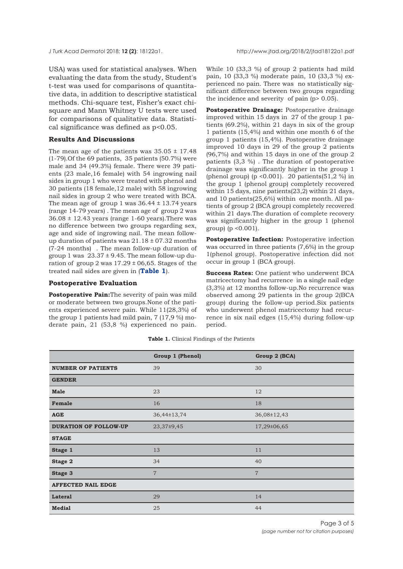USA) was used for statistical analyses. When evaluating the data from the study, Student's t-test was used for comparisons of quantitative data, in addition to descriptive statistical methods. Chi-square test, Fisher's exact chisquare and Mann Whitney U tests were used for comparisons of qualitative data. Statistical significance was defined as p<0.05.

# **Results And Discussions**

The mean age of the patients was  $35.05 \pm 17.48$ (1-79).Of the 69 patients, 35 patients (50.7%) were male and 34 (49.3%) female. There were 39 patients (23 male,16 female) with 54 ingrowing nail sides in group 1 who were treated with phenol and 30 patients (18 female,12 male) with 58 ingrowing nail sides in group 2 who were treated with BCA. The mean age of group 1 was  $36.44 \pm 13.74$  years (range 14-79 years) . The mean age of group 2 was  $36.08 \pm 12.43$  years (range 1-60 years). There was no difference between two groups regarding sex, age and side of ingrowing nail. The mean followup duration of patients was  $21.18 \pm 07.32$  months (7-24 months) . The mean follow-up duration of group 1 was  $23.37 \pm 9.45$ . The mean follow-up duration of group 2 was  $17.29 \pm 06,65$ . Stages of the treated nail sides are given in (**Table 1**).

#### **Postoperative Evaluation**

**Postoperative Pain:**The severity of pain was mild or moderate between two groups.None of the patients experienced severe pain. While 11(28,3%) of the group 1 patients had mild pain, 7 (17,9 %) moderate pain, 21 (53,8 %) experienced no pain.

While 10 (33,3 %) of group 2 patients had mild pain, 10 (33,3 %) moderate pain, 10 (33,3 %) experienced no pain. There was no statistically significant difference between two groups regarding the incidence and severity of pain (p> 0.05).

**Postoperative Drainage:** Postoperative drainage improved within 15 days in 27 of the group 1 patients (69.2%), within 21 days in six of the group 1 patients (15,4%) and within one month 6 of the group 1 patients (15,4%). Postoperative drainage improved 10 days in 29 of the group 2 patients (96,7%) and within 15 days in one of the group 2 patients (3,3 %) . The duration of postoperative drainage was significantly higher in the group 1 (phenol group) (p <  $0.001$ ). 20 patients( $51.2$  %) in the group 1 (phenol group) completely recovered within 15 days, nine patients(23,2) within 21 days, and 10 patients(25,6%) within one month. All patients of group 2 (BCA group) completely recovered within 21 days.The duration of complete recovery was significantly higher in the group 1 (phenol group) (p <0.001).

**Postoperative Infection:** Postoperative infection was occurred in three patients (7,6%) in the group 1(phenol group). Postoperative infection did not occur in group 1 (BCA group).

**Success Rates:** One patient who underwent BCA matricectomy had recurrence in a single nail edge (3,3%) at 12 months follow-up.No recurrence was observed among 29 patients in the group 2(BCA group) during the follow-up period.Six patients who underwent phenol matricectomy had recurrence in six nail edges (15,4%) during follow-up period.

**Table 1.** Clinical Findings of the Patients

|                              | Group 1 (Phenol) | Group 2 (BCA)  |
|------------------------------|------------------|----------------|
| <b>NUMBER OF PATIENTS</b>    | 39               | 30             |
| <b>GENDER</b>                |                  |                |
| <b>Male</b>                  | 23               | 12             |
| Female                       | 16               | 18             |
| <b>AGE</b>                   | 36,44±13,74      | 36,08±12,43    |
| <b>DURATION OF FOLLOW-UP</b> | 23,37±9,45       | 17,29±06,65    |
| <b>STAGE</b>                 |                  |                |
| Stage 1                      | 13               | 11             |
| Stage 2                      | 34               | 40             |
| Stage 3                      | $\overline{7}$   | $\overline{7}$ |
| <b>AFFECTED NAIL EDGE</b>    |                  |                |
| <b>Lateral</b>               | 29               | 14             |
| <b>Medial</b>                | 25               | 44             |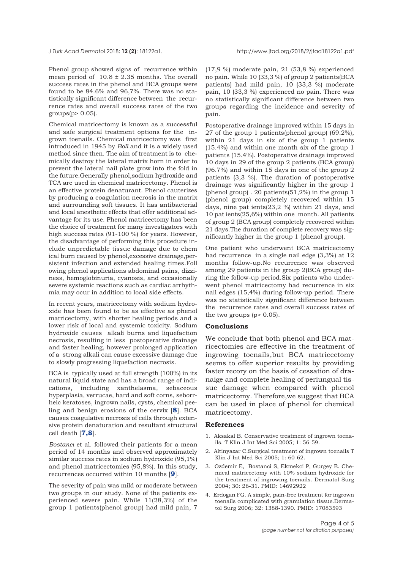<span id="page-3-0"></span>

Phenol group showed signs of recurrence within mean period of  $10.8 \pm 2.35$  months. The overall success rates in the phenol and BCA groups were found to be 84.6% and 96,7%. There was no statistically significant difference between the recurrence rates and overall success rates of the two  $groups(p> 0.05)$ .

Chemical matricectomy is known as a successful and safe surgical treatment options for the ingrown toenails. Chemical matricectomy was first introduced in 1945 by *Boll* and it is a widely used method since then. The aim of treatment is to chemically destroy the lateral matrix horn in order to prevent the lateral nail plate grow into the fold in the future.Generally phenol,sodium hydroxide and TCA are used in chemical matricectomy. Phenol is an effective protein denaturant. Phenol cauterizes by producing a coagulation necrosis in the matrix and surrounding soft tissues. It has antibacterial and local anesthetic effects that offer additional advantage for its use. Phenol matricectomy has been the choice of treatment for many investigators with high success rates (91-100 %) for years. However, the disadvantage of performing this procedure include unpredictable tissue damage due to chem ical burn caused by phenol,excessive drainage,persistent infection and extended healing times.Foll owing phenol applications abdominal pains, dizziness, hemoglobinuria, cyanosis, and occasionally severe systemic reactions such as cardiac arrhythmia may ocur in addition to local side effects.

In recent years, matricectomy with sodium hydroxide has been found to be as effective as phenol matricectomy, with shorter healing periods and a lower risk of local and systemic toxicity. Sodium hydroxide causes alkali burns and liquefaction necrosis, resulting in less postoperative drainage and faster healing, however prolonged application of a strong alkali can cause excessive damage due to slowly progressing liquefaction necrosis.

BCA is typically used at full strength (100%) in its natural liquid state and has a broad range of indications, including xanthelasma, sebaceous hyperplasia, verrucae, hard and soft corns, seborrheic keratoses, ingrown nails, cysts, chemical peeling and benign erosions of the cervix [**[8](#page-4-0)**]. BCA causes coagulative necrosis of cells through extensive protein denaturation and resultant structural cell death [**[7,8](#page-4-0)**].

*Bostancı* et al. followed their patients for a mean period of 14 months and observed approximately similar success rates in sodium hydroxide (95,1%) and phenol matricectomies (95,8%). In this study, recurrences occurred within 10 months [**[9](#page-4-0)**].

The severity of pain was mild or moderate between two groups in our study. None of the patients experienced severe pain. While 11(28,3%) of the group 1 patients(phenol group) had mild pain, 7

(17,9 %) moderate pain, 21 (53,8 %) experienced no pain. While 10 (33,3 %) of group 2 patients(BCA patients) had mild pain, 10 (33,3 %) moderate pain, 10 (33,3 %) experienced no pain. There was no statistically significant difference between two groups regarding the incidence and severity of pain.

Postoperative drainage improved within 15 days in 27 of the group 1 patients(phenol group) (69.2%), within 21 days in six of the group 1 patients (15.4%) and within one month six of the group 1 patients (15.4%). Postoperative drainage improved 10 days in 29 of the group 2 patients (BCA group) (96.7%) and within 15 days in one of the group 2 patients (3,3 %). The duration of postoperative drainage was significantly higher in the group 1 (phenol group). 20 patients $(51,2\%)$  in the group 1 (phenol group) completely recovered within 15 days, nine pat ients(23,2 %) within 21 days, and 10 pat ients(25,6%) within one month. All patients of group 2 (BCA group) completely recovered within 21 days.The duration of complete recovery was significantly higher in the group 1 (phenol group).

One patient who underwent BCA matricectomy had recurrence in a single nail edge (3,3%) at 12 months follow-up.No recurrence was observed among 29 patients in the group 2(BCA group) during the follow-up period.Six patients who underwent phenol matricectomy had recurrence in six nail edges (15,4%) during follow-up period. There was no statistically significant difference between the recurrence rates and overall success rates of the two groups  $(p > 0.05)$ .

#### **Conclusions**

We conclude that both phenol and BCA matricectomies are effective in the treatment of ingrowing toenails,but BCA matricectomy seems to offer superior results by providing faster recory on the basis of cessation of dranaige and complete healing of periungual tissue damage when compared with phenol matricectomy. Therefore,we suggest that BCA can be used in place of phenol for chemical matricectomy.

### **References**

- 1. Aksakal B. Conservative treatment of ingrown toenails. T Klin J Int Med Sci 2005; 1: 56-59.
- 2. Altinyazar C.Surgical treatment of ingrown toenails T Klin J Int Med Sci 2005; 1: 60-62.
- 3. Ozdemir E, Bostanci S, Ekmekci P, Gurgey E. Chemical matricectomy with 10% sodium hydroxide for the treatment of ingrowing toenails. Dermatol Surg 2004; 30: 26-31. PMID: 14692922
- 4. Erdogan FG. A simple, pain-free treatment for ingrown toenails complicated with granulation tissue.Dermatol Surg 2006; 32: 1388-1390. PMID: 17083593